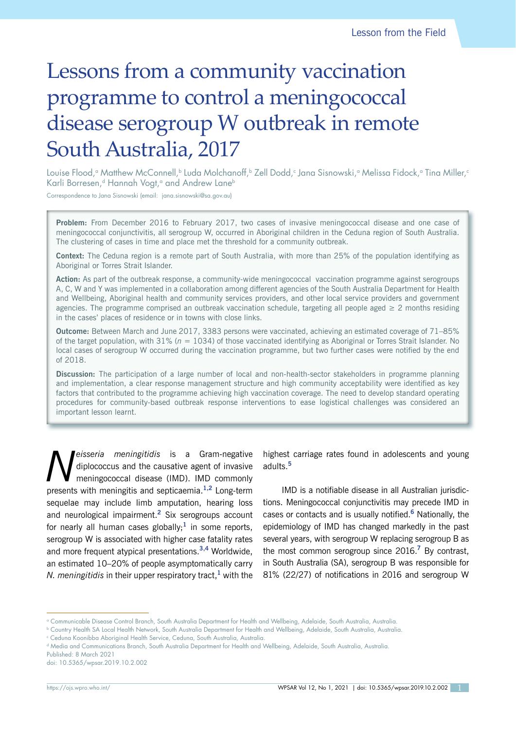# Lessons from a community vaccination programme to control a meningococcal disease serogroup W outbreak in remote South Australia, 2017

Louise Flood,ª Matthew McConnell,b Luda Molchanoff,b Zell Dodd,¢ Jana Sisnowski,ª Melissa Fidock,ª Tina Miller,¢ Karli Borresen,<sup>d</sup> Hannah Vogt,<sup>a</sup> and Andrew Lane<sup>b</sup>

Correspondence to Jana Sisnowski (email: jana.sisnowski@sa.gov.au)

**Problem:** From December 2016 to February 2017, two cases of invasive meningococcal disease and one case of meningococcal conjunctivitis, all serogroup W, occurred in Aboriginal children in the Ceduna region of South Australia. The clustering of cases in time and place met the threshold for a community outbreak.

**Context:** The Ceduna region is a remote part of South Australia, with more than 25% of the population identifying as Aboriginal or Torres Strait Islander.

**Action:** As part of the outbreak response, a community-wide meningococcal vaccination programme against serogroups A, C, W and Y was implemented in a collaboration among different agencies of the South Australia Department for Health and Wellbeing, Aboriginal health and community services providers, and other local service providers and government agencies. The programme comprised an outbreak vaccination schedule, targeting all people aged  $\geq 2$  months residing in the cases' places of residence or in towns with close links.

**Outcome:** Between March and June 2017, 3383 persons were vaccinated, achieving an estimated coverage of 71–85% of the target population, with 31% (*n* = 1034) of those vaccinated identifying as Aboriginal or Torres Strait Islander. No local cases of serogroup W occurred during the vaccination programme, but two further cases were notified by the end of 2018.

**Discussion:** The participation of a large number of local and non-health-sector stakeholders in programme planning and implementation, a clear response management structure and high community acceptability were identified as key factors that contributed to the programme achieving high vaccination coverage. The need to develop standard operating procedures for community-based outbreak response interventions to ease logistical challenges was considered an important lesson learnt.

*Neisseria meningitidis* is a Gram-negative<br>diplococcus and the causative agent of invasive<br>meningococcal disease (IMD). IMD commonly diplococcus and the causative agent of invasive meningococcal disease (IMD). IMD commonly presents with meningitis and septicaemia.**1,2** Long-term sequelae may include limb amputation, hearing loss and neurological impairment.**<sup>2</sup>** Six serogroups account for nearly all human cases globally;**<sup>1</sup>** in some reports, serogroup W is associated with higher case fatality rates and more frequent atypical presentations.**3,4** Worldwide, an estimated 10–20% of people asymptomatically carry *N. meningitidis* in their upper respiratory tract,**<sup>1</sup>** with the

highest carriage rates found in adolescents and young adults.**<sup>5</sup>**

IMD is a notifiable disease in all Australian jurisdictions. Meningococcal conjunctivitis may precede IMD in cases or contacts and is usually notified.**<sup>6</sup>** Nationally, the epidemiology of IMD has changed markedly in the past several years, with serogroup W replacing serogroup B as the most common serogroup since 2016.**<sup>7</sup>** By contrast, in South Australia (SA), serogroup B was responsible for 81% (22/27) of notifications in 2016 and serogroup W

Published: 8 March 2021

doi: 10.5365/wpsar.2019.10.2.002

a Communicable Disease Control Branch, South Australia Department for Health and Wellbeing, Adelaide, South Australia, Australia.

b Country Health SA Local Health Network, South Australia Department for Health and Wellbeing, Adelaide, South Australia, Australia.

c Ceduna Koonibba Aboriginal Health Service, Ceduna, South Australia, Australia.

d Media and Communications Branch, South Australia Department for Health and Wellbeing, Adelaide, South Australia, Australia.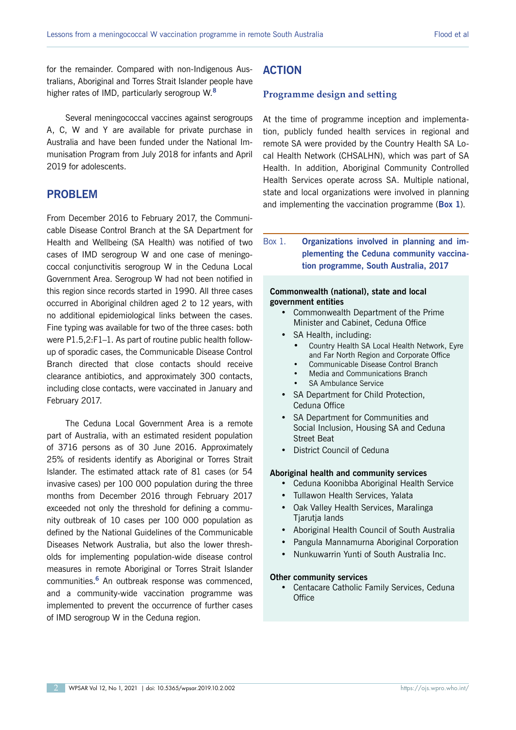for the remainder. Compared with non-Indigenous Australians, Aboriginal and Torres Strait Islander people have higher rates of IMD, particularly serogroup W.**<sup>8</sup>**

Several meningococcal vaccines against serogroups A, C, W and Y are available for private purchase in Australia and have been funded under the National Immunisation Program from July 2018 for infants and April 2019 for adolescents.

# **PROBLEM**

From December 2016 to February 2017, the Communicable Disease Control Branch at the SA Department for Health and Wellbeing (SA Health) was notified of two cases of IMD serogroup W and one case of meningococcal conjunctivitis serogroup W in the Ceduna Local Government Area. Serogroup W had not been notified in this region since records started in 1990. All three cases occurred in Aboriginal children aged 2 to 12 years, with no additional epidemiological links between the cases. Fine typing was available for two of the three cases: both were P1.5,2:F1–1. As part of routine public health followup of sporadic cases, the Communicable Disease Control Branch directed that close contacts should receive clearance antibiotics, and approximately 300 contacts, including close contacts, were vaccinated in January and February 2017.

The Ceduna Local Government Area is a remote part of Australia, with an estimated resident population of 3716 persons as of 30 June 2016. Approximately 25% of residents identify as Aboriginal or Torres Strait Islander. The estimated attack rate of 81 cases (or 54 invasive cases) per 100 000 population during the three months from December 2016 through February 2017 exceeded not only the threshold for defining a community outbreak of 10 cases per 100 000 population as defined by the National Guidelines of the Communicable Diseases Network Australia, but also the lower thresholds for implementing population-wide disease control measures in remote Aboriginal or Torres Strait Islander communities.**<sup>6</sup>** An outbreak response was commenced, and a community-wide vaccination programme was implemented to prevent the occurrence of further cases of IMD serogroup W in the Ceduna region.

# **ACTION**

#### **Programme design and setting**

At the time of programme inception and implementation, publicly funded health services in regional and remote SA were provided by the Country Health SA Local Health Network (CHSALHN), which was part of SA Health. In addition, Aboriginal Community Controlled Health Services operate across SA. Multiple national, state and local organizations were involved in planning and implementing the vaccination programme (**Box 1**).

Box 1. **Organizations involved in planning and implementing the Ceduna community vaccination programme, South Australia, 2017**

#### **Commonwealth (national), state and local government entities**

- Commonwealth Department of the Prime Minister and Cabinet, Ceduna Office
- SA Health, including:
	- Country Health SA Local Health Network, Eyre and Far North Region and Corporate Office
	- Communicable Disease Control Branch
	- Media and Communications Branch
	- SA Ambulance Service
- SA Department for Child Protection. Ceduna Office
- SA Department for Communities and Social Inclusion, Housing SA and Ceduna Street Beat
- District Council of Ceduna

#### **Aboriginal health and community services**

- Ceduna Koonibba Aboriginal Health Service
- Tullawon Health Services, Yalata
- Oak Valley Health Services, Maralinga Tjarutja lands
- Aboriginal Health Council of South Australia
- Pangula Mannamurna Aboriginal Corporation
- Nunkuwarrin Yunti of South Australia Inc.

#### **Other community services**

• Centacare Catholic Family Services, Ceduna **Office**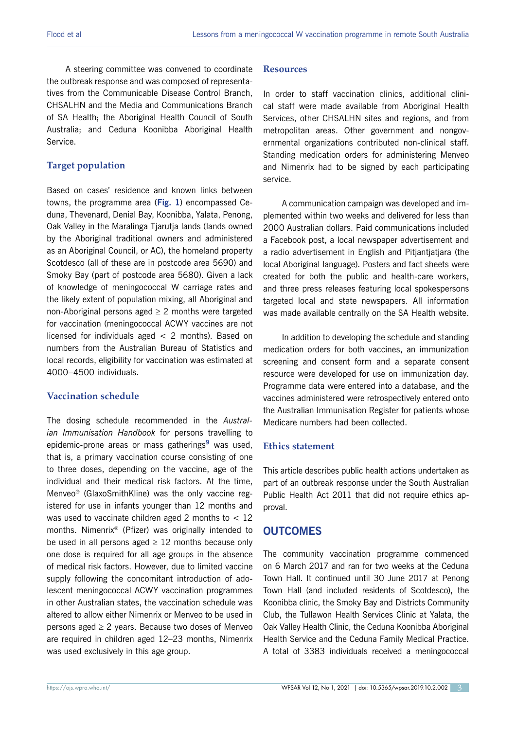A steering committee was convened to coordinate the outbreak response and was composed of representatives from the Communicable Disease Control Branch, CHSALHN and the Media and Communications Branch of SA Health; the Aboriginal Health Council of South Australia; and Ceduna Koonibba Aboriginal Health Service.

# **Target population**

Based on cases' residence and known links between towns, the programme area (**Fig. 1**) encompassed Ceduna, Thevenard, Denial Bay, Koonibba, Yalata, Penong, Oak Valley in the Maralinga Tjarutja lands (lands owned by the Aboriginal traditional owners and administered as an Aboriginal Council, or AC), the homeland property Scotdesco (all of these are in postcode area 5690) and Smoky Bay (part of postcode area 5680). Given a lack of knowledge of meningococcal W carriage rates and the likely extent of population mixing, all Aboriginal and non-Aboriginal persons aged  $\geq 2$  months were targeted for vaccination (meningococcal ACWY vaccines are not licensed for individuals aged  $< 2$  months). Based on numbers from the Australian Bureau of Statistics and local records, eligibility for vaccination was estimated at 4000–4500 individuals.

# **Vaccination schedule**

The dosing schedule recommended in the *Australian Immunisation Handbook* for persons travelling to epidemic-prone areas or mass gatherings**<sup>9</sup>** was used, that is, a primary vaccination course consisting of one to three doses, depending on the vaccine, age of the individual and their medical risk factors. At the time, Menveo® (GlaxoSmithKline) was the only vaccine registered for use in infants younger than 12 months and was used to vaccinate children aged 2 months to  $< 12$ months. Nimenrix® (Pfizer) was originally intended to be used in all persons aged  $\geq$  12 months because only one dose is required for all age groups in the absence of medical risk factors. However, due to limited vaccine supply following the concomitant introduction of adolescent meningococcal ACWY vaccination programmes in other Australian states, the vaccination schedule was altered to allow either Nimenrix or Menveo to be used in persons aged  $\geq 2$  years. Because two doses of Menveo are required in children aged 12–23 months, Nimenrix was used exclusively in this age group.

## **Resources**

In order to staff vaccination clinics, additional clinical staff were made available from Aboriginal Health Services, other CHSALHN sites and regions, and from metropolitan areas. Other government and nongovernmental organizations contributed non-clinical staff. Standing medication orders for administering Menveo and Nimenrix had to be signed by each participating service.

A communication campaign was developed and implemented within two weeks and delivered for less than 2000 Australian dollars. Paid communications included a Facebook post, a local newspaper advertisement and a radio advertisement in English and Pitjantjatjara (the local Aboriginal language). Posters and fact sheets were created for both the public and health-care workers, and three press releases featuring local spokespersons targeted local and state newspapers. All information was made available centrally on the SA Health website.

In addition to developing the schedule and standing medication orders for both vaccines, an immunization screening and consent form and a separate consent resource were developed for use on immunization day. Programme data were entered into a database, and the vaccines administered were retrospectively entered onto the Australian Immunisation Register for patients whose Medicare numbers had been collected.

# **Ethics statement**

This article describes public health actions undertaken as part of an outbreak response under the South Australian Public Health Act 2011 that did not require ethics approval.

# **OUTCOMES**

The community vaccination programme commenced on 6 March 2017 and ran for two weeks at the Ceduna Town Hall. It continued until 30 June 2017 at Penong Town Hall (and included residents of Scotdesco), the Koonibba clinic, the Smoky Bay and Districts Community Club, the Tullawon Health Services Clinic at Yalata, the Oak Valley Health Clinic, the Ceduna Koonibba Aboriginal Health Service and the Ceduna Family Medical Practice. A total of 3383 individuals received a meningococcal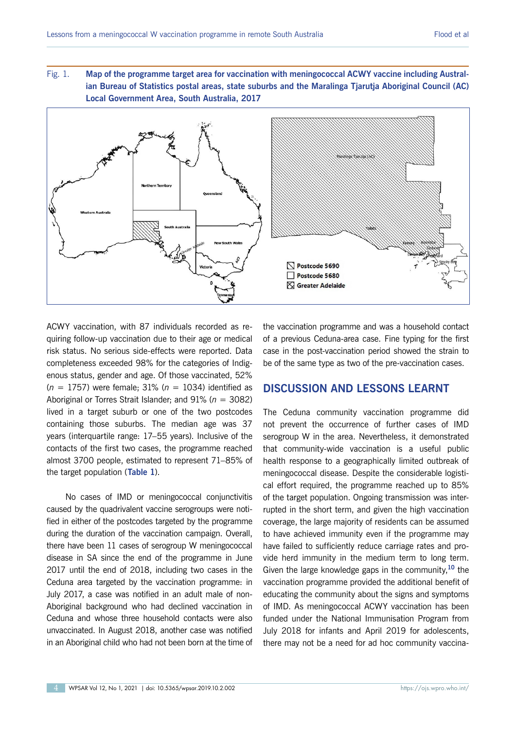Fig. 1. **Map of the programme target area for vaccination with meningococcal ACWY vaccine including Australian Bureau of Statistics postal areas, state suburbs and the Maralinga Tjarutja Aboriginal Council (AC) Local Government Area, South Australia, 2017**



ACWY vaccination, with 87 individuals recorded as requiring follow-up vaccination due to their age or medical risk status. No serious side-effects were reported. Data completeness exceeded 98% for the categories of Indigenous status, gender and age. Of those vaccinated, 52% (*n* = 1757) were female; 31% (*n* = 1034) identified as Aboriginal or Torres Strait Islander; and 91% (*n* = 3082) lived in a target suburb or one of the two postcodes containing those suburbs. The median age was 37 years (interquartile range: 17–55 years). Inclusive of the contacts of the first two cases, the programme reached almost 3700 people, estimated to represent 71–85% of the target population (**Table 1**).

No cases of IMD or meningococcal conjunctivitis caused by the quadrivalent vaccine serogroups were notified in either of the postcodes targeted by the programme during the duration of the vaccination campaign. Overall, there have been 11 cases of serogroup W meningococcal disease in SA since the end of the programme in June 2017 until the end of 2018, including two cases in the Ceduna area targeted by the vaccination programme: in July 2017, a case was notified in an adult male of non-Aboriginal background who had declined vaccination in Ceduna and whose three household contacts were also unvaccinated. In August 2018, another case was notified in an Aboriginal child who had not been born at the time of

the vaccination programme and was a household contact of a previous Ceduna-area case. Fine typing for the first case in the post-vaccination period showed the strain to be of the same type as two of the pre-vaccination cases.

# **DISCUSSION AND LESSONS LEARNT**

The Ceduna community vaccination programme did not prevent the occurrence of further cases of IMD serogroup W in the area. Nevertheless, it demonstrated that community-wide vaccination is a useful public health response to a geographically limited outbreak of meningococcal disease. Despite the considerable logistical effort required, the programme reached up to 85% of the target population. Ongoing transmission was interrupted in the short term, and given the high vaccination coverage, the large majority of residents can be assumed to have achieved immunity even if the programme may have failed to sufficiently reduce carriage rates and provide herd immunity in the medium term to long term. Given the large knowledge gaps in the community,**<sup>10</sup>** the vaccination programme provided the additional benefit of educating the community about the signs and symptoms of IMD. As meningococcal ACWY vaccination has been funded under the National Immunisation Program from July 2018 for infants and April 2019 for adolescents, there may not be a need for ad hoc community vaccina-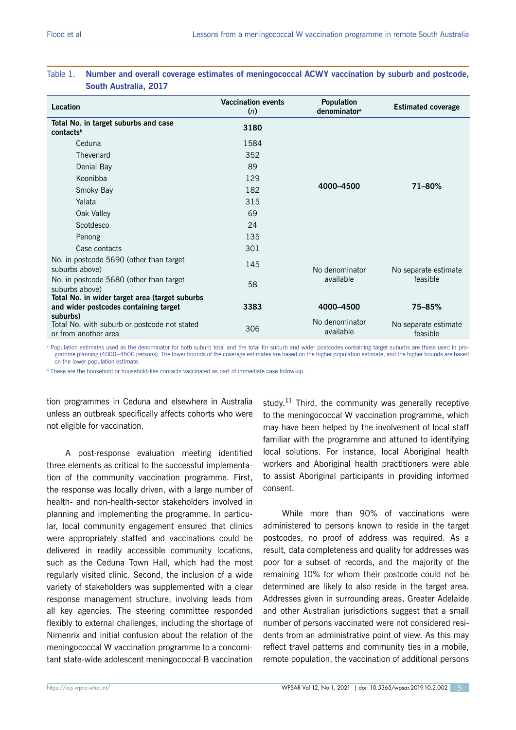|                                                                                  | <b>Vaccination events</b> | <b>Population</b>           |                                  |
|----------------------------------------------------------------------------------|---------------------------|-----------------------------|----------------------------------|
| <b>Location</b>                                                                  | (n)                       | denominator <sup>a</sup>    | <b>Estimated coverage</b>        |
| Total No. in target suburbs and case<br>contactsb                                | 3180                      |                             |                                  |
| Ceduna                                                                           | 1584                      | 4000-4500                   | $71 - 80%$                       |
| Thevenard                                                                        | 352                       |                             |                                  |
| Denial Bay                                                                       | 89                        |                             |                                  |
| Koonibba                                                                         | 129                       |                             |                                  |
| Smoky Bay                                                                        | 182                       |                             |                                  |
| Yalata                                                                           | 315                       |                             |                                  |
| Oak Valley                                                                       | 69                        |                             |                                  |
| Scotdesco                                                                        | 24                        |                             |                                  |
| Penong                                                                           | 135                       |                             |                                  |
| Case contacts                                                                    | 301                       |                             |                                  |
| No. in postcode 5690 (other than target<br>suburbs above)                        | 145                       | No denominator<br>available | No separate estimate<br>feasible |
| No. in postcode 5680 (other than target<br>suburbs above)                        | 58                        |                             |                                  |
| Total No. in wider target area (target suburbs                                   |                           |                             |                                  |
| and wider postcodes containing target                                            | 3383                      | 4000-4500                   | 75-85%                           |
| suburbs)<br>Total No. with suburb or postcode not stated<br>or from another area | 306                       | No denominator<br>available | No separate estimate<br>feasible |

## Table 1. **Number and overall coverage estimates of meningococcal ACWY vaccination by suburb and postcode, South Australia, 2017**

a Population estimates used as the denominator for both suburb total and the total for suburb and wider postcodes containing target suburbs are those used in programme planning (4000–4500 persons). The lower bounds of the coverage estimates are based on the higher population estimate, and the higher bounds are based on the lower population estimate.

<sup>b</sup> These are the household or household-like contacts vaccinated as part of immediate case follow-up.

tion programmes in Ceduna and elsewhere in Australia unless an outbreak specifically affects cohorts who were not eligible for vaccination.

A post-response evaluation meeting identified three elements as critical to the successful implementation of the community vaccination programme. First, the response was locally driven, with a large number of health- and non-health-sector stakeholders involved in planning and implementing the programme. In particular, local community engagement ensured that clinics were appropriately staffed and vaccinations could be delivered in readily accessible community locations, such as the Ceduna Town Hall, which had the most regularly visited clinic. Second, the inclusion of a wide variety of stakeholders was supplemented with a clear response management structure, involving leads from all key agencies. The steering committee responded flexibly to external challenges, including the shortage of Nimenrix and initial confusion about the relation of the meningococcal W vaccination programme to a concomitant state-wide adolescent meningococcal B vaccination

study.<sup>11</sup> Third, the community was generally receptive to the meningococcal W vaccination programme, which may have been helped by the involvement of local staff familiar with the programme and attuned to identifying local solutions. For instance, local Aboriginal health workers and Aboriginal health practitioners were able to assist Aboriginal participants in providing informed consent.

While more than 90% of vaccinations were administered to persons known to reside in the target postcodes, no proof of address was required. As a result, data completeness and quality for addresses was poor for a subset of records, and the majority of the remaining 10% for whom their postcode could not be determined are likely to also reside in the target area. Addresses given in surrounding areas, Greater Adelaide and other Australian jurisdictions suggest that a small number of persons vaccinated were not considered residents from an administrative point of view. As this may reflect travel patterns and community ties in a mobile, remote population, the vaccination of additional persons